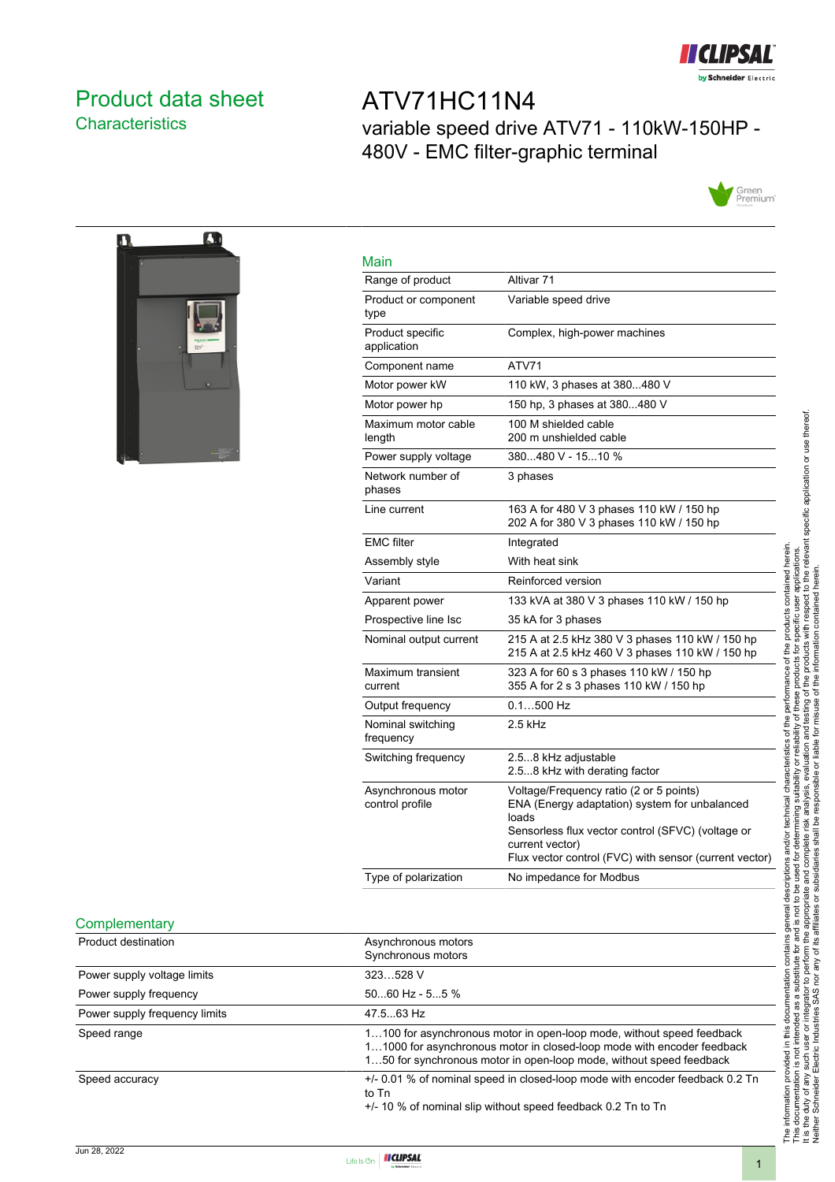

### <span id="page-0-0"></span>Product data sheet **Characteristics**

### ATV71HC11N4 variable speed drive ATV71 - 110kW-150HP - 480V - EMC filter-graphic terminal





| Main                                  |                                                                                                                                                                                                                                     |
|---------------------------------------|-------------------------------------------------------------------------------------------------------------------------------------------------------------------------------------------------------------------------------------|
| Range of product                      | Altivar 71                                                                                                                                                                                                                          |
| Product or component<br>type          | Variable speed drive                                                                                                                                                                                                                |
| Product specific<br>application       | Complex, high-power machines                                                                                                                                                                                                        |
| Component name                        | ATV71                                                                                                                                                                                                                               |
| Motor power kW                        | 110 kW, 3 phases at 380480 V                                                                                                                                                                                                        |
| Motor power hp                        | 150 hp, 3 phases at 380480 V                                                                                                                                                                                                        |
| Maximum motor cable<br>length         | 100 M shielded cable<br>200 m unshielded cable                                                                                                                                                                                      |
| Power supply voltage                  | 380480 V - 1510 %                                                                                                                                                                                                                   |
| Network number of<br>phases           | 3 phases                                                                                                                                                                                                                            |
| Line current                          | 163 A for 480 V 3 phases 110 kW / 150 hp<br>202 A for 380 V 3 phases 110 kW / 150 hp                                                                                                                                                |
| <b>EMC</b> filter                     | Integrated                                                                                                                                                                                                                          |
| Assembly style                        | With heat sink                                                                                                                                                                                                                      |
| Variant                               | Reinforced version                                                                                                                                                                                                                  |
| Apparent power                        | 133 kVA at 380 V 3 phases 110 kW / 150 hp                                                                                                                                                                                           |
| Prospective line Isc                  | 35 kA for 3 phases                                                                                                                                                                                                                  |
| Nominal output current                | 215 A at 2.5 kHz 380 V 3 phases 110 kW / 150 hp<br>215 A at 2.5 kHz 460 V 3 phases 110 kW / 150 hp                                                                                                                                  |
| Maximum transient<br>current          | 323 A for 60 s 3 phases 110 kW / 150 hp<br>355 A for 2 s 3 phases 110 kW / 150 hp                                                                                                                                                   |
| Output frequency                      | $0.1500$ Hz                                                                                                                                                                                                                         |
| Nominal switching<br>frequency        | 2.5 kHz                                                                                                                                                                                                                             |
| Switching frequency                   | 2.58 kHz adjustable<br>2.58 kHz with derating factor                                                                                                                                                                                |
| Asynchronous motor<br>control profile | Voltage/Frequency ratio (2 or 5 points)<br>ENA (Energy adaptation) system for unbalanced<br>loads<br>Sensorless flux vector control (SFVC) (voltage or<br>current vector)<br>Flux vector control (FVC) with sensor (current vector) |
| Type of polarization                  | No impedance for Modbus                                                                                                                                                                                                             |

#### **Complementary**

| Product destination           | Asynchronous motors<br>Synchronous motors                                                                                                                                                                              |
|-------------------------------|------------------------------------------------------------------------------------------------------------------------------------------------------------------------------------------------------------------------|
| Power supply voltage limits   | 323528 V                                                                                                                                                                                                               |
| Power supply frequency        | $5060$ Hz - $55$ %                                                                                                                                                                                                     |
| Power supply frequency limits | 47.563 Hz                                                                                                                                                                                                              |
| Speed range                   | 1100 for asynchronous motor in open-loop mode, without speed feedback<br>11000 for asynchronous motor in closed-loop mode with encoder feedback<br>150 for synchronous motor in open-loop mode, without speed feedback |
| Speed accuracy                | +/- 0.01 % of nominal speed in closed-loop mode with encoder feedback 0.2 Tn<br>to Tn<br>$+/-$ 10 % of nominal slip without speed feedback 0.2 Tn to Tn                                                                |

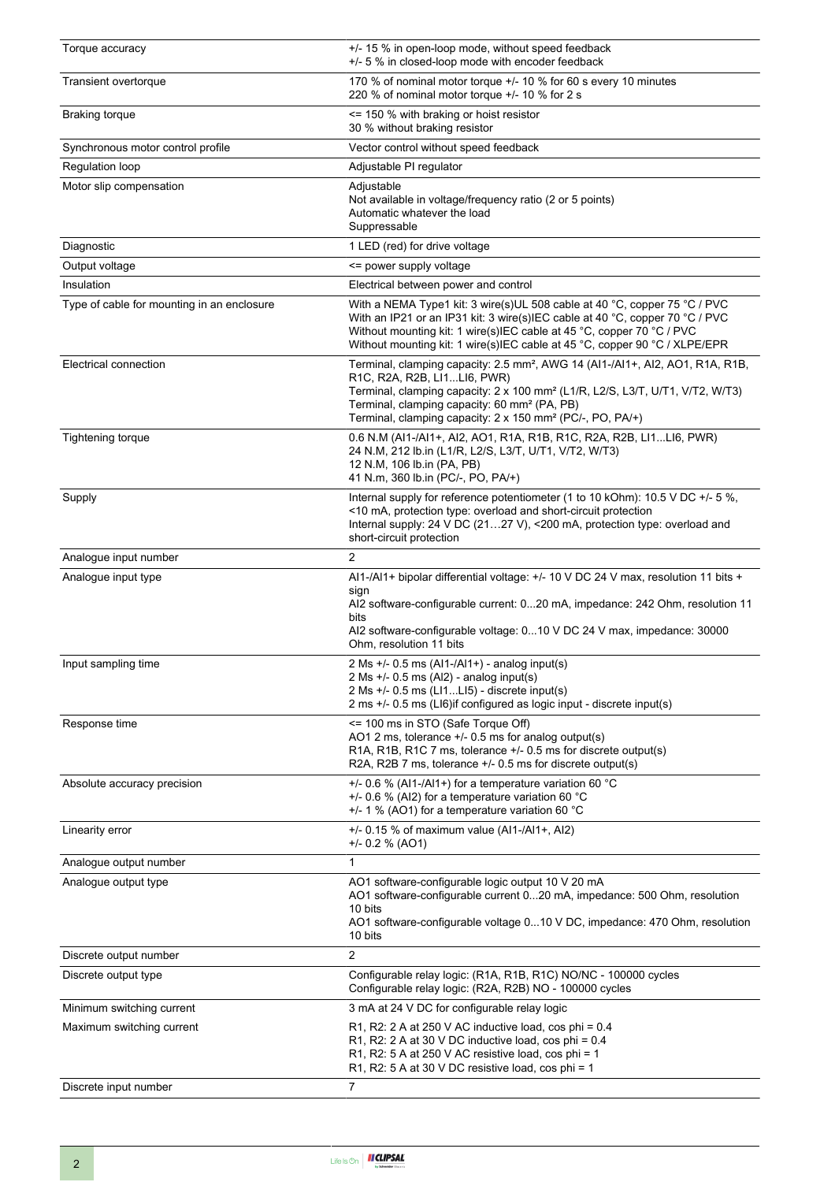| Torque accuracy                            | +/- 15 % in open-loop mode, without speed feedback<br>+/- 5 % in closed-loop mode with encoder feedback                                                                                                                                                                                                                                                    |  |  |
|--------------------------------------------|------------------------------------------------------------------------------------------------------------------------------------------------------------------------------------------------------------------------------------------------------------------------------------------------------------------------------------------------------------|--|--|
| Transient overtorque                       | 170 % of nominal motor torque +/- 10 % for 60 s every 10 minutes<br>220 % of nominal motor torque +/- 10 % for 2 s                                                                                                                                                                                                                                         |  |  |
| <b>Braking torque</b>                      | <= 150 % with braking or hoist resistor<br>30 % without braking resistor                                                                                                                                                                                                                                                                                   |  |  |
| Synchronous motor control profile          | Vector control without speed feedback                                                                                                                                                                                                                                                                                                                      |  |  |
| Regulation loop                            | Adjustable PI regulator                                                                                                                                                                                                                                                                                                                                    |  |  |
| Motor slip compensation                    | Adjustable<br>Not available in voltage/frequency ratio (2 or 5 points)<br>Automatic whatever the load<br>Suppressable                                                                                                                                                                                                                                      |  |  |
| Diagnostic                                 | 1 LED (red) for drive voltage                                                                                                                                                                                                                                                                                                                              |  |  |
| Output voltage                             | <= power supply voltage                                                                                                                                                                                                                                                                                                                                    |  |  |
| Insulation                                 | Electrical between power and control                                                                                                                                                                                                                                                                                                                       |  |  |
| Type of cable for mounting in an enclosure | With a NEMA Type1 kit: 3 wire(s)UL 508 cable at 40 °C, copper 75 °C / PVC<br>With an IP21 or an IP31 kit: 3 wire(s)IEC cable at 40 °C, copper 70 °C / PVC<br>Without mounting kit: 1 wire(s)IEC cable at 45 °C, copper 70 °C / PVC<br>Without mounting kit: 1 wire(s)IEC cable at 45 °C, copper 90 °C / XLPE/EPR                                           |  |  |
| Electrical connection                      | Terminal, clamping capacity: 2.5 mm <sup>2</sup> , AWG 14 (Al1-/Al1+, Al2, AO1, R1A, R1B,<br>R1C, R2A, R2B, LI1LI6, PWR)<br>Terminal, clamping capacity: 2 x 100 mm <sup>2</sup> (L1/R, L2/S, L3/T, U/T1, V/T2, W/T3)<br>Terminal, clamping capacity: 60 mm <sup>2</sup> (PA, PB)<br>Terminal, clamping capacity: 2 x 150 mm <sup>2</sup> (PC/-, PO, PA/+) |  |  |
| <b>Tightening torque</b>                   | 0.6 N.M (AI1-/AI1+, AI2, AO1, R1A, R1B, R1C, R2A, R2B, LI1LI6, PWR)<br>24 N.M, 212 lb.in (L1/R, L2/S, L3/T, U/T1, V/T2, W/T3)<br>12 N.M, 106 lb.in (PA, PB)<br>41 N.m, 360 lb.in (PC/-, PO, PA/+)                                                                                                                                                          |  |  |
| Supply                                     | Internal supply for reference potentiometer (1 to 10 kOhm): 10.5 V DC +/- 5 %,<br><10 mA, protection type: overload and short-circuit protection<br>Internal supply: 24 V DC (2127 V), <200 mA, protection type: overload and<br>short-circuit protection                                                                                                  |  |  |
| Analogue input number                      | $\overline{2}$                                                                                                                                                                                                                                                                                                                                             |  |  |
| Analogue input type                        | Al1-/Al1+ bipolar differential voltage: +/- 10 V DC 24 V max, resolution 11 bits +<br>sign<br>Al2 software-configurable current: 020 mA, impedance: 242 Ohm, resolution 11<br>bits<br>Al2 software-configurable voltage: 010 V DC 24 V max, impedance: 30000<br>Ohm, resolution 11 bits                                                                    |  |  |
| Input sampling time                        | 2 Ms $+/-$ 0.5 ms (Al1-/Al1+) - analog input(s)<br>2 Ms $+/-$ 0.5 ms (Al2) - analog input(s)<br>2 Ms +/- 0.5 ms (L11LI5) - discrete input(s)<br>2 ms +/- 0.5 ms (LI6)if configured as logic input - discrete input(s)                                                                                                                                      |  |  |
| Response time                              | <= 100 ms in STO (Safe Torque Off)<br>AO1 2 ms, tolerance $+/-$ 0.5 ms for analog output(s)<br>R1A, R1B, R1C 7 ms, tolerance +/- 0.5 ms for discrete output(s)<br>R2A, R2B 7 ms, tolerance +/- 0.5 ms for discrete output(s)                                                                                                                               |  |  |
| Absolute accuracy precision                | $+/-$ 0.6 % (Al1-/Al1+) for a temperature variation 60 °C<br>$+/-$ 0.6 % (Al2) for a temperature variation 60 °C<br>$+/-$ 1 % (AO1) for a temperature variation 60 °C                                                                                                                                                                                      |  |  |
| Linearity error                            | $+/-$ 0.15 % of maximum value (Al1-/Al1+, Al2)<br>+/- 0.2 % (AO1)                                                                                                                                                                                                                                                                                          |  |  |
| Analogue output number                     | 1                                                                                                                                                                                                                                                                                                                                                          |  |  |
| Analogue output type                       | AO1 software-configurable logic output 10 V 20 mA<br>AO1 software-configurable current 020 mA, impedance: 500 Ohm, resolution<br>10 bits<br>AO1 software-configurable voltage 010 V DC, impedance: 470 Ohm, resolution<br>10 bits                                                                                                                          |  |  |
| Discrete output number                     | $\overline{2}$                                                                                                                                                                                                                                                                                                                                             |  |  |
| Discrete output type                       | Configurable relay logic: (R1A, R1B, R1C) NO/NC - 100000 cycles<br>Configurable relay logic: (R2A, R2B) NO - 100000 cycles                                                                                                                                                                                                                                 |  |  |
| Minimum switching current                  | 3 mA at 24 V DC for configurable relay logic                                                                                                                                                                                                                                                                                                               |  |  |
| Maximum switching current                  | R1, R2: 2 A at 250 V AC inductive load, cos phi = $0.4$<br>R1, R2: 2 A at 30 V DC inductive load, cos phi = $0.4$<br>R1, R2: 5 A at 250 V AC resistive load, cos phi = 1<br>R1, R2: 5 A at 30 V DC resistive load, cos phi = 1                                                                                                                             |  |  |
| Discrete input number                      | $\overline{7}$                                                                                                                                                                                                                                                                                                                                             |  |  |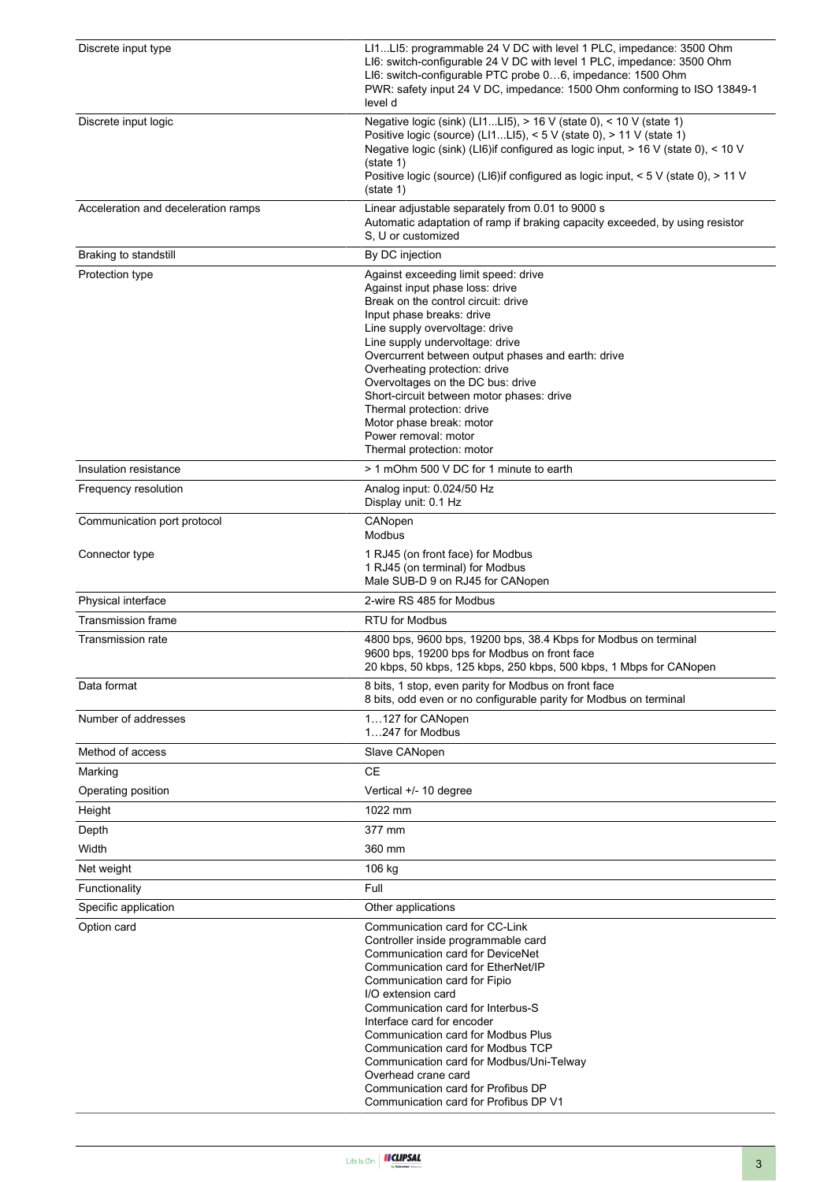| Discrete input type                 | LI1LI5: programmable 24 V DC with level 1 PLC, impedance: 3500 Ohm<br>LI6: switch-configurable 24 V DC with level 1 PLC, impedance: 3500 Ohm<br>LI6: switch-configurable PTC probe 06, impedance: 1500 Ohm<br>PWR: safety input 24 V DC, impedance: 1500 Ohm conforming to ISO 13849-1<br>level d                                                                                                                                                                                                       |
|-------------------------------------|---------------------------------------------------------------------------------------------------------------------------------------------------------------------------------------------------------------------------------------------------------------------------------------------------------------------------------------------------------------------------------------------------------------------------------------------------------------------------------------------------------|
| Discrete input logic                | Negative logic (sink) (LI1LI5), > 16 V (state 0), < 10 V (state 1)<br>Positive logic (source) (LI1LI5), < 5 V (state 0), > 11 V (state 1)<br>Negative logic (sink) (LI6) if configured as logic input, $> 16$ V (state 0), < 10 V<br>(state 1)<br>Positive logic (source) (LI6)if configured as logic input, < 5 V (state 0), > 11 V<br>(state 1)                                                                                                                                                       |
| Acceleration and deceleration ramps | Linear adjustable separately from 0.01 to 9000 s<br>Automatic adaptation of ramp if braking capacity exceeded, by using resistor<br>S. U or customized                                                                                                                                                                                                                                                                                                                                                  |
| Braking to standstill               | By DC injection                                                                                                                                                                                                                                                                                                                                                                                                                                                                                         |
| Protection type                     | Against exceeding limit speed: drive<br>Against input phase loss: drive<br>Break on the control circuit: drive<br>Input phase breaks: drive<br>Line supply overvoltage: drive<br>Line supply undervoltage: drive<br>Overcurrent between output phases and earth: drive<br>Overheating protection: drive<br>Overvoltages on the DC bus: drive<br>Short-circuit between motor phases: drive<br>Thermal protection: drive<br>Motor phase break: motor<br>Power removal: motor<br>Thermal protection: motor |
| Insulation resistance               | > 1 mOhm 500 V DC for 1 minute to earth                                                                                                                                                                                                                                                                                                                                                                                                                                                                 |
| Frequency resolution                | Analog input: 0.024/50 Hz<br>Display unit: 0.1 Hz                                                                                                                                                                                                                                                                                                                                                                                                                                                       |
| Communication port protocol         | CANopen<br><b>Modbus</b>                                                                                                                                                                                                                                                                                                                                                                                                                                                                                |
| Connector type                      | 1 RJ45 (on front face) for Modbus<br>1 RJ45 (on terminal) for Modbus<br>Male SUB-D 9 on RJ45 for CANopen                                                                                                                                                                                                                                                                                                                                                                                                |
| Physical interface                  | 2-wire RS 485 for Modbus                                                                                                                                                                                                                                                                                                                                                                                                                                                                                |
| <b>Transmission frame</b>           | <b>RTU for Modbus</b>                                                                                                                                                                                                                                                                                                                                                                                                                                                                                   |
| Transmission rate                   | 4800 bps, 9600 bps, 19200 bps, 38.4 Kbps for Modbus on terminal<br>9600 bps, 19200 bps for Modbus on front face<br>20 kbps, 50 kbps, 125 kbps, 250 kbps, 500 kbps, 1 Mbps for CANopen                                                                                                                                                                                                                                                                                                                   |
| Data format                         | 8 bits, 1 stop, even parity for Modbus on front face<br>8 bits, odd even or no configurable parity for Modbus on terminal                                                                                                                                                                                                                                                                                                                                                                               |
| Number of addresses                 | 1127 for CANopen<br>1247 for Modbus                                                                                                                                                                                                                                                                                                                                                                                                                                                                     |
| Method of access                    | Slave CANopen                                                                                                                                                                                                                                                                                                                                                                                                                                                                                           |
| Marking                             | <b>CE</b>                                                                                                                                                                                                                                                                                                                                                                                                                                                                                               |
| Operating position                  | Vertical +/- 10 degree                                                                                                                                                                                                                                                                                                                                                                                                                                                                                  |
| Height                              | 1022 mm                                                                                                                                                                                                                                                                                                                                                                                                                                                                                                 |
| Depth                               | 377 mm                                                                                                                                                                                                                                                                                                                                                                                                                                                                                                  |
| Width                               | 360 mm                                                                                                                                                                                                                                                                                                                                                                                                                                                                                                  |
| Net weight                          | 106 kg                                                                                                                                                                                                                                                                                                                                                                                                                                                                                                  |
| Functionality                       | Full                                                                                                                                                                                                                                                                                                                                                                                                                                                                                                    |
| Specific application                | Other applications                                                                                                                                                                                                                                                                                                                                                                                                                                                                                      |
| Option card                         | Communication card for CC-Link<br>Controller inside programmable card<br>Communication card for DeviceNet<br>Communication card for EtherNet/IP<br>Communication card for Fipio<br>I/O extension card<br>Communication card for Interbus-S<br>Interface card for encoder<br>Communication card for Modbus Plus<br>Communication card for Modbus TCP<br>Communication card for Modbus/Uni-Telway<br>Overhead crane card<br>Communication card for Profibus DP<br>Communication card for Profibus DP V1   |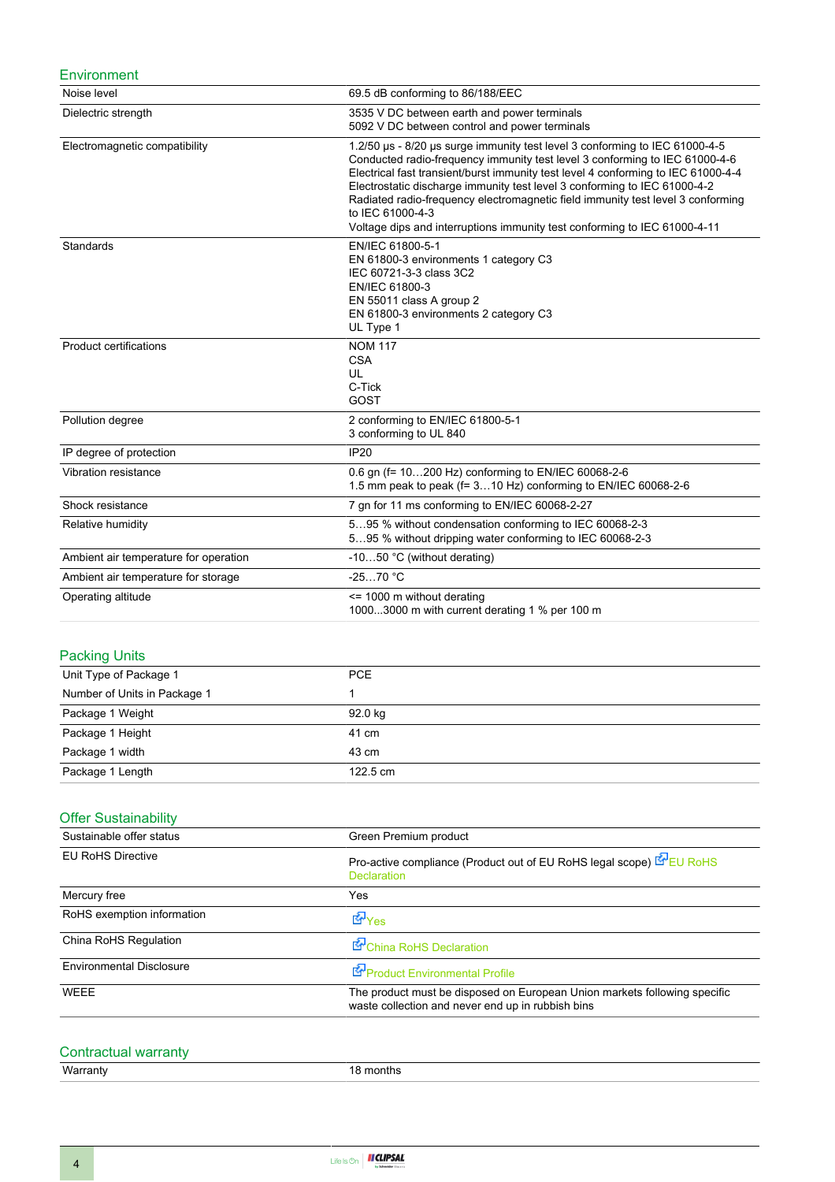#### **Environment**

| Noise level                           | 69.5 dB conforming to 86/188/EEC                                                                                                                                                                                                                                                                                                                                                                                                                                                                                 |
|---------------------------------------|------------------------------------------------------------------------------------------------------------------------------------------------------------------------------------------------------------------------------------------------------------------------------------------------------------------------------------------------------------------------------------------------------------------------------------------------------------------------------------------------------------------|
| Dielectric strength                   | 3535 V DC between earth and power terminals<br>5092 V DC between control and power terminals                                                                                                                                                                                                                                                                                                                                                                                                                     |
| Electromagnetic compatibility         | 1.2/50 µs - 8/20 µs surge immunity test level 3 conforming to IEC 61000-4-5<br>Conducted radio-frequency immunity test level 3 conforming to IEC 61000-4-6<br>Electrical fast transient/burst immunity test level 4 conforming to IEC 61000-4-4<br>Electrostatic discharge immunity test level 3 conforming to IEC 61000-4-2<br>Radiated radio-frequency electromagnetic field immunity test level 3 conforming<br>to IEC 61000-4-3<br>Voltage dips and interruptions immunity test conforming to IEC 61000-4-11 |
| Standards                             | EN/IEC 61800-5-1<br>EN 61800-3 environments 1 category C3<br>IEC 60721-3-3 class 3C2<br>EN/IEC 61800-3<br>EN 55011 class A group 2<br>EN 61800-3 environments 2 category C3<br>UL Type 1                                                                                                                                                                                                                                                                                                                         |
| <b>Product certifications</b>         | <b>NOM 117</b><br><b>CSA</b><br>UL<br>C-Tick<br>GOST                                                                                                                                                                                                                                                                                                                                                                                                                                                             |
| Pollution degree                      | 2 conforming to EN/IEC 61800-5-1<br>3 conforming to UL 840                                                                                                                                                                                                                                                                                                                                                                                                                                                       |
| IP degree of protection               | <b>IP20</b>                                                                                                                                                                                                                                                                                                                                                                                                                                                                                                      |
| Vibration resistance                  | 0.6 gn (f= 10200 Hz) conforming to EN/IEC 60068-2-6<br>1.5 mm peak to peak (f= 310 Hz) conforming to EN/IEC 60068-2-6                                                                                                                                                                                                                                                                                                                                                                                            |
| Shock resistance                      | 7 gn for 11 ms conforming to EN/IEC 60068-2-27                                                                                                                                                                                                                                                                                                                                                                                                                                                                   |
| Relative humidity                     | 595 % without condensation conforming to IEC 60068-2-3<br>595 % without dripping water conforming to IEC 60068-2-3                                                                                                                                                                                                                                                                                                                                                                                               |
| Ambient air temperature for operation | -1050 °C (without derating)                                                                                                                                                                                                                                                                                                                                                                                                                                                                                      |
| Ambient air temperature for storage   | $-2570 °C$                                                                                                                                                                                                                                                                                                                                                                                                                                                                                                       |
| Operating altitude                    | <= 1000 m without derating<br>10003000 m with current derating 1 % per 100 m                                                                                                                                                                                                                                                                                                                                                                                                                                     |

### Packing Units

| Unit Type of Package 1       | <b>PCE</b> |
|------------------------------|------------|
| Number of Units in Package 1 |            |
| Package 1 Weight             | 92.0 kg    |
| Package 1 Height             | 41 cm      |
| Package 1 width              | 43 cm      |
| Package 1 Length             | 122.5 cm   |

### **Offer Sustainability**

| Sustainable offer status        | Green Premium product                                                                                                          |  |  |  |
|---------------------------------|--------------------------------------------------------------------------------------------------------------------------------|--|--|--|
| <b>EU RoHS Directive</b>        | Pro-active compliance (Product out of EU RoHS legal scope) EU RoHS<br><b>Declaration</b>                                       |  |  |  |
| Mercury free                    | Yes                                                                                                                            |  |  |  |
| RoHS exemption information      | t∲Yes                                                                                                                          |  |  |  |
| China RoHS Regulation           | China RoHS Declaration                                                                                                         |  |  |  |
| <b>Environmental Disclosure</b> | Product Environmental Profile                                                                                                  |  |  |  |
| <b>WEEE</b>                     | The product must be disposed on European Union markets following specific<br>waste collection and never end up in rubbish bins |  |  |  |

# Contractual warranty<br>Warranty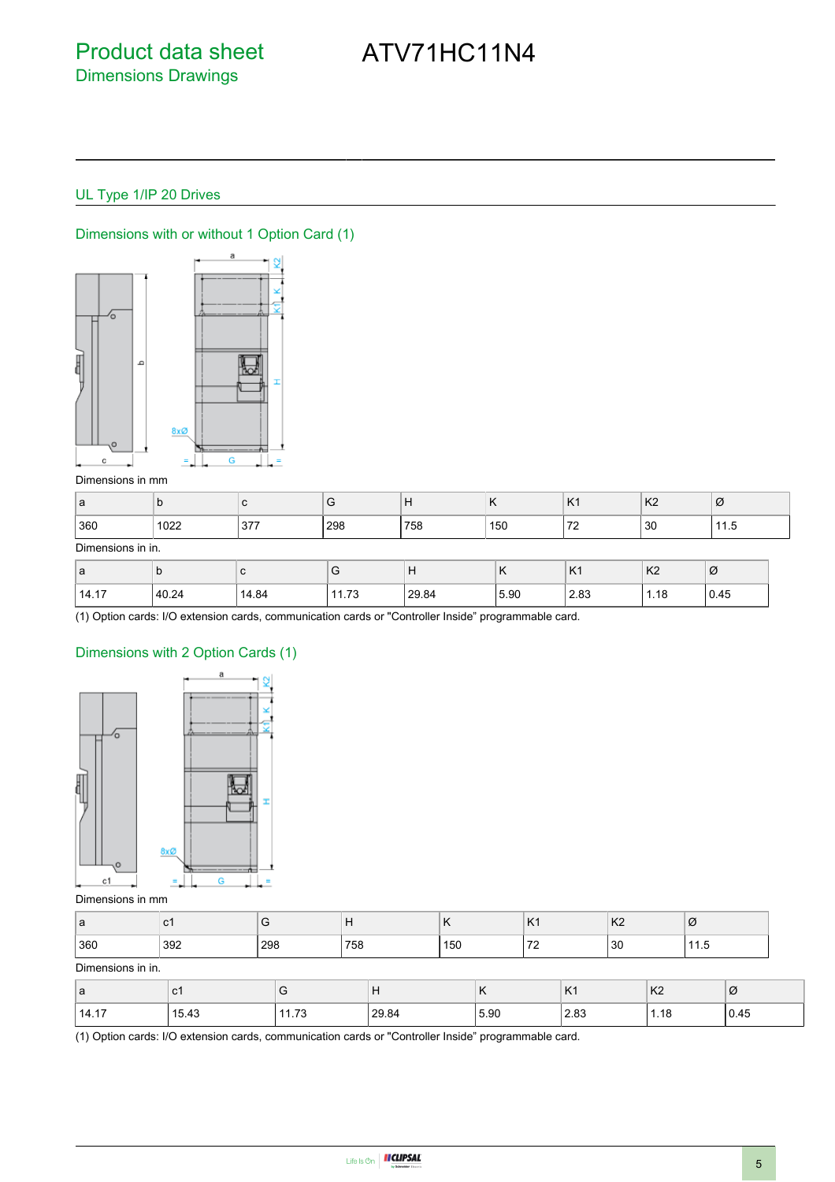## ATV71HC11N4

### UL Type 1/IP 20 Drives



Dimensions with or without 1 Option Card (1)

#### Dimensions in mm

| a   | ิม   |     | <u>.</u> |     | $\blacksquare$<br>$\cdots$ | $\overline{V}$<br>$\lfloor N \rfloor$ | K <sub>2</sub> | Ø |
|-----|------|-----|----------|-----|----------------------------|---------------------------------------|----------------|---|
| 360 | 1022 | 377 | 298      | 758 | 150                        | 70<br>. .                             | 30             | . |

#### Dimensions in in.

| ۱a    | ັ     |       | v                                                     | Н     | $\overline{ }$<br>n | $\overline{1}$<br><b>N</b> | K <sub>2</sub> | Ø    |
|-------|-------|-------|-------------------------------------------------------|-------|---------------------|----------------------------|----------------|------|
| 14.17 | 40.24 | 14.84 | $\overline{\phantom{a}}$<br>$\overline{A}$<br>ن ، ، ا | 29.84 | 5.90                | 2.83<br>$-$                | 1.18<br>$\sim$ | 0.45 |

(1) Option cards: I/O extension cards, communication cards or "Controller Inside" programmable card.

### Dimensions with 2 Option Cards (1)



#### Dimensions in mm

| $\sqrt{2}$<br>∣d | ັບ  | ັ   | .   | $\cdots$ | $\mathbf{v}$<br><b>171</b>    | K <sub>2</sub> | Ø |
|------------------|-----|-----|-----|----------|-------------------------------|----------------|---|
| 360              | 392 | 298 | 758 | 150      | $\overline{\phantom{a}}$<br>- | 30             | . |

#### Dimensions in in.

| ∣a    | $\mathbf{r}$<br>J I |      | $\mathsf{L}$<br><b>.</b> | $\cdot$ | K <sub>1</sub> | K <sub>2</sub> | Ø    |
|-------|---------------------|------|--------------------------|---------|----------------|----------------|------|
| 14.17 | 15.43               | 1.73 | 29.84                    | 5.90    | ററ<br>2.03     | 1.18           | 0.45 |

(1) Option cards: I/O extension cards, communication cards or "Controller Inside" programmable card.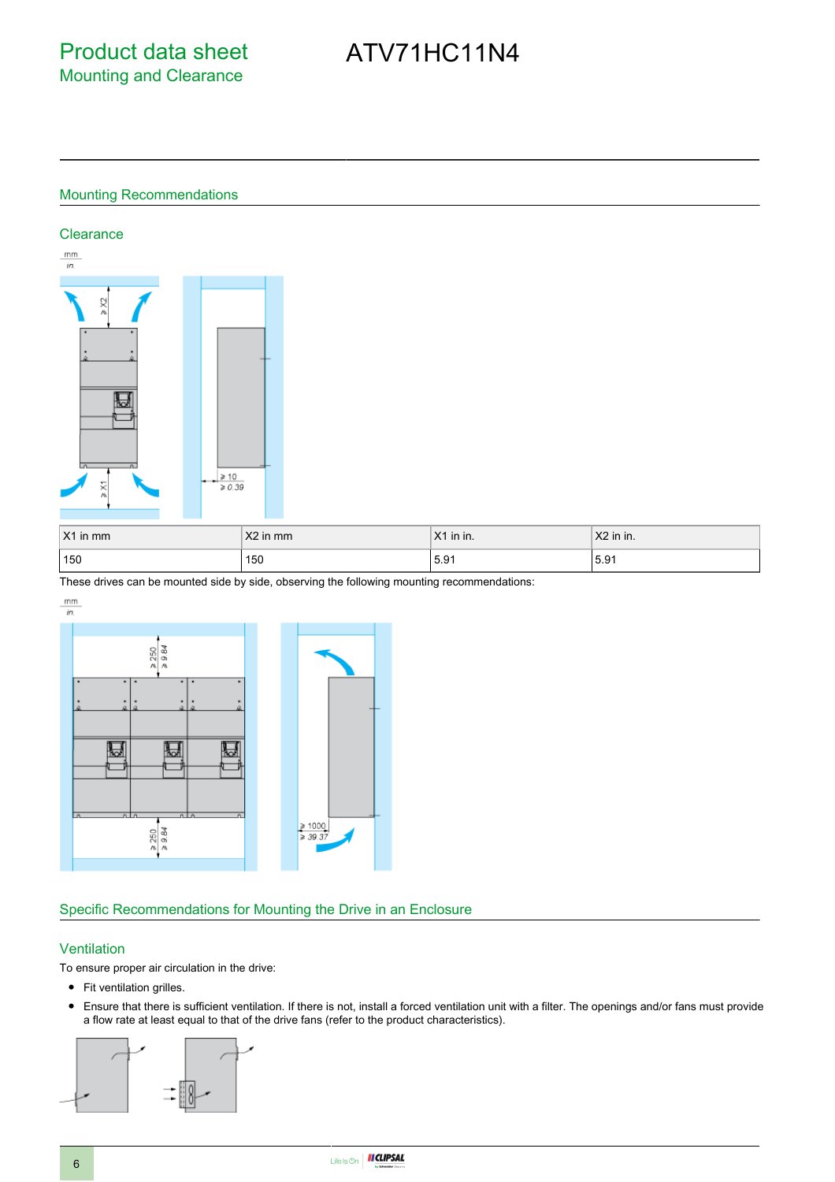# ATV71HC11N4

#### Mounting Recommendations

#### **Clearance**



| $X1$ in mm | X2 in mm | $X1$ in in. | $X2$ in in. |
|------------|----------|-------------|-------------|
| 150        | 150      | 15.91       | 5.91        |

These drives can be mounted side by side, observing the following mounting recommendations:

 $\mathsf{mm}$ 



#### Specific Recommendations for Mounting the Drive in an Enclosure

#### **Ventilation**

To ensure proper air circulation in the drive:

- Fit ventilation grilles.
- Ensure that there is sufficient ventilation. If there is not, install a forced ventilation unit with a filter. The openings and/or fans must provide a flow rate at least equal to that of the drive fans (refer to the product characteristics).

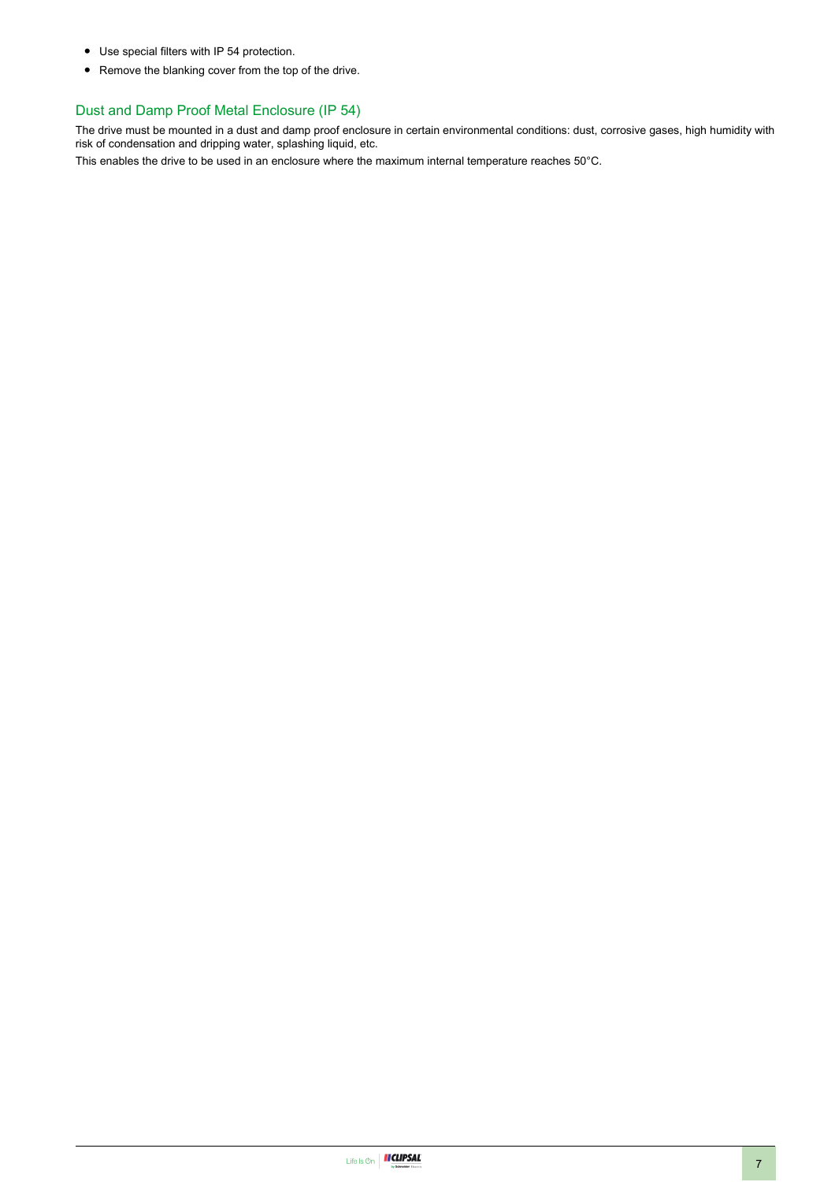- Use special filters with IP 54 protection.
- Remove the blanking cover from the top of the drive.

#### Dust and Damp Proof Metal Enclosure (IP 54)

The drive must be mounted in a dust and damp proof enclosure in certain environmental conditions: dust, corrosive gases, high humidity with risk of condensation and dripping water, splashing liquid, etc.

This enables the drive to be used in an enclosure where the maximum internal temperature reaches 50°C.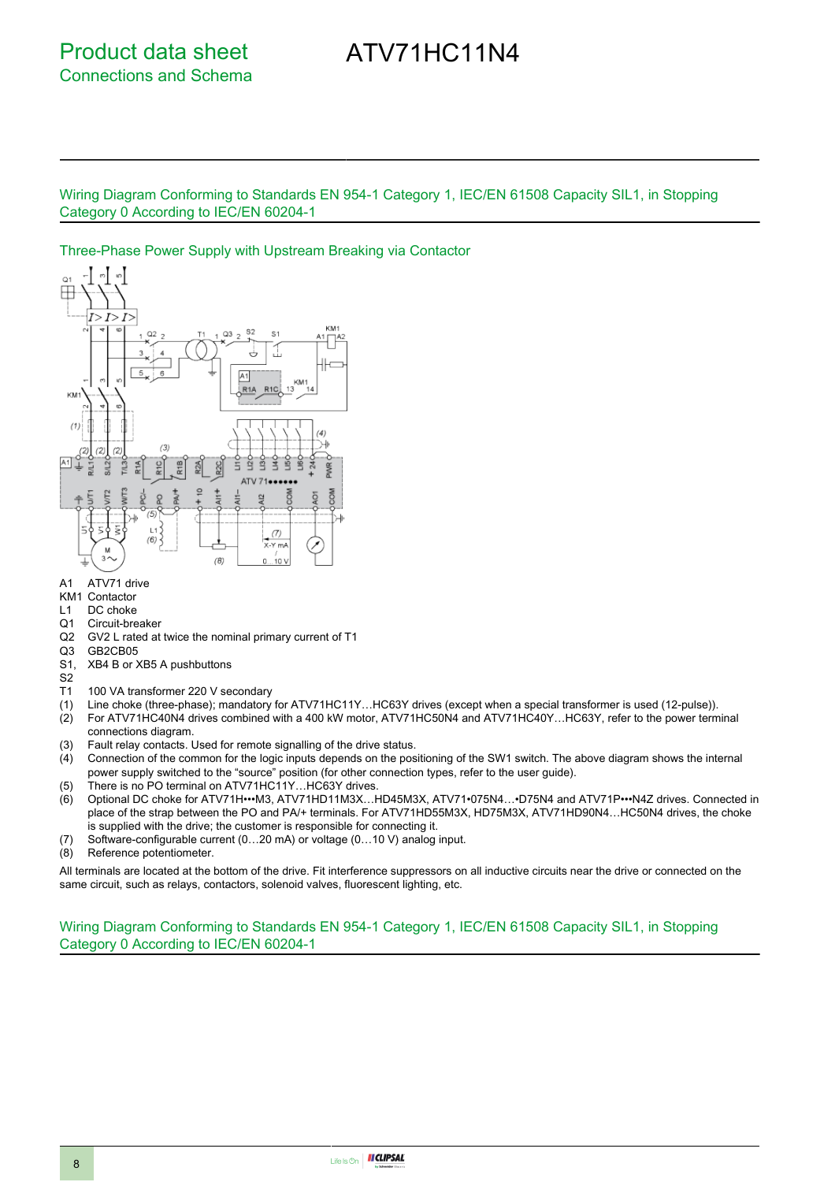## ATV71HC11N4

Wiring Diagram Conforming to Standards EN 954-1 Category 1, IEC/EN 61508 Capacity SIL1, in Stopping Category 0 According to IEC/EN 60204-1

#### Three-Phase Power Supply with Upstream Breaking via Contactor



- A1 ATV71 drive
- KM1 Contactor
- L1 DC choke
- Q1 Circuit-breaker<br>Q2 GV2 L rated at
- Q2 GV2 L rated at twice the nominal primary current of T1
- GB2CB05
- S1, XB4 B or XB5 A pushbuttons
- S2
- T1 100 VA transformer 220 V secondary
- 
- (1) Line choke (three-phase); mandatory for ATV71HC11Y…HC63Y drives (except when a special transformer is used (12-pulse)). (2) For ATV71HC40N4 drives combined with a 400 kW motor, ATV71HC50N4 and ATV71HC40Y…HC63Y, refer to the power terminal connections diagram.
- (3) Fault relay contacts. Used for remote signalling of the drive status.
- (4) Connection of the common for the logic inputs depends on the positioning of the SW1 switch. The above diagram shows the internal power supply switched to the "source" position (for other connection types, refer to the user guide).
- (5) There is no PO terminal on ATV71HC11Y…HC63Y drives.
- (6) Optional DC choke for ATV71H•••M3, ATV71HD11M3X…HD45M3X, ATV71•075N4…•D75N4 and ATV71P•••N4Z drives. Connected in place of the strap between the PO and PA/+ terminals. For ATV71HD55M3X, HD75M3X, ATV71HD90N4…HC50N4 drives, the choke is supplied with the drive; the customer is responsible for connecting it.
- (7) Software-configurable current (0…20 mA) or voltage (0…10 V) analog input.
- (8) Reference potentiometer.

All terminals are located at the bottom of the drive. Fit interference suppressors on all inductive circuits near the drive or connected on the same circuit, such as relays, contactors, solenoid valves, fluorescent lighting, etc.

Wiring Diagram Conforming to Standards EN 954-1 Category 1, IEC/EN 61508 Capacity SIL1, in Stopping Category 0 According to IEC/EN 60204-1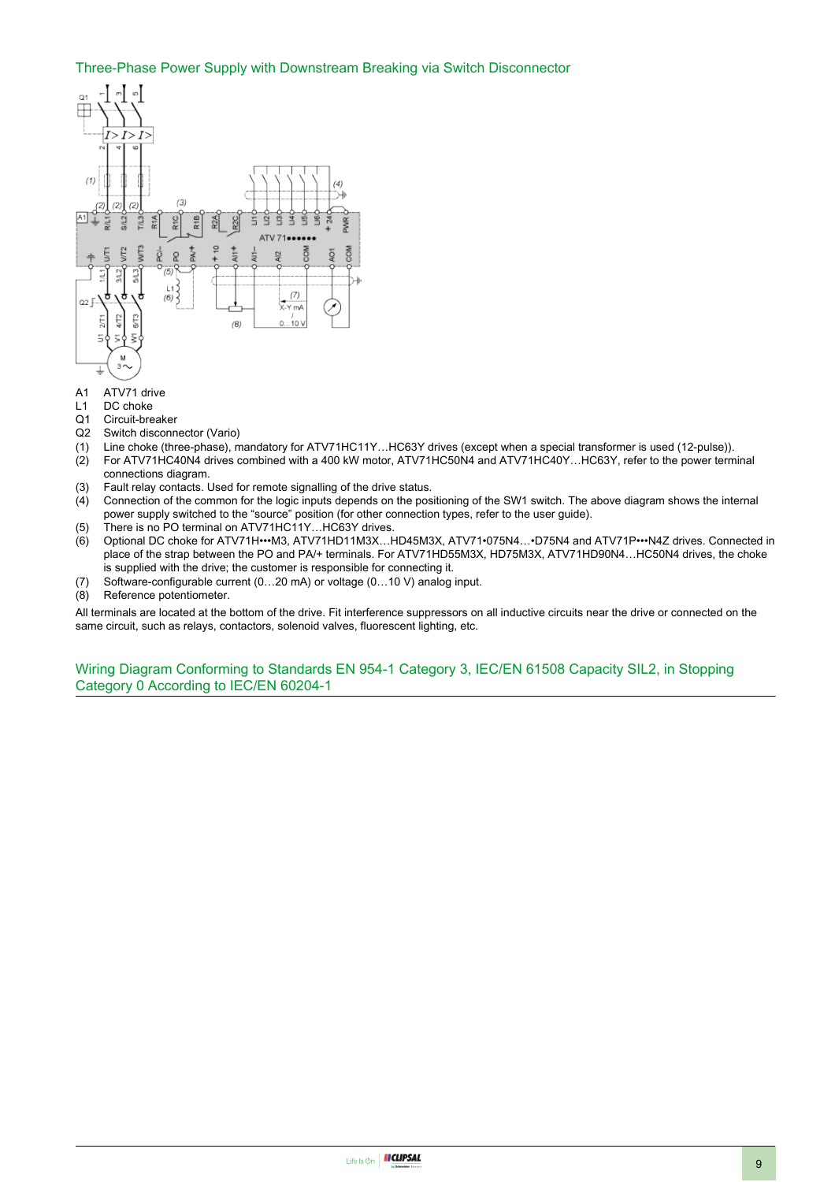#### Three-Phase Power Supply with Downstream Breaking via Switch Disconnector



- A1 ATV71 drive
- L1 DC choke
- Q1 Circuit-breaker<br>Q2 Switch disconn
- Switch disconnector (Vario)
- (1) Line choke (three-phase), mandatory for ATV71HC11Y…HC63Y drives (except when a special transformer is used (12-pulse)).
- (2) For ATV71HC40N4 drives combined with a 400 kW motor, ATV71HC50N4 and ATV71HC40Y…HC63Y, refer to the power terminal connections diagram.
- (3) Fault relay contacts. Used for remote signalling of the drive status.
- (4) Connection of the common for the logic inputs depends on the positioning of the SW1 switch. The above diagram shows the internal power supply switched to the "source" position (for other connection types, refer to the user guide).
- (5) There is no PO terminal on ATV71HC11Y…HC63Y drives.
- (6) Optional DC choke for ATV71H•••M3, ATV71HD11M3X…HD45M3X, ATV71•075N4…•D75N4 and ATV71P•••N4Z drives. Connected in place of the strap between the PO and PA/+ terminals. For ATV71HD55M3X, HD75M3X, ATV71HD90N4…HC50N4 drives, the choke is supplied with the drive; the customer is responsible for connecting it.
- (7) Software-configurable current (0…20 mA) or voltage (0…10 V) analog input.
- (8) Reference potentiometer.

All terminals are located at the bottom of the drive. Fit interference suppressors on all inductive circuits near the drive or connected on the same circuit, such as relays, contactors, solenoid valves, fluorescent lighting, etc.

Wiring Diagram Conforming to Standards EN 954-1 Category 3, IEC/EN 61508 Capacity SIL2, in Stopping Category 0 According to IEC/EN 60204-1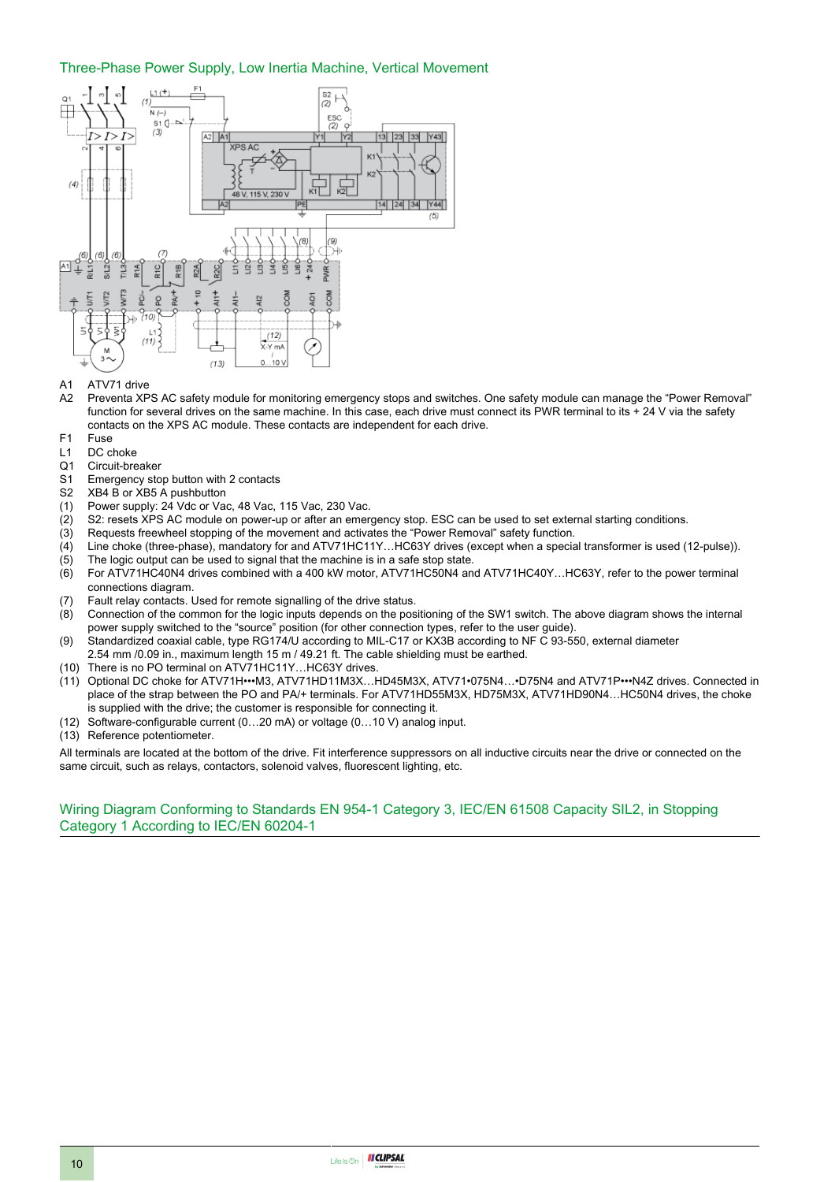#### Three-Phase Power Supply, Low Inertia Machine, Vertical Movement



#### A1 ATV71 drive

- A2 Preventa XPS AC safety module for monitoring emergency stops and switches. One safety module can manage the "Power Removal" function for several drives on the same machine. In this case, each drive must connect its PWR terminal to its + 24 V via the safety contacts on the XPS AC module. These contacts are independent for each drive.
- F1 Fuse<br>L1 DC c
- DC choke
- Q1 Circuit-breaker
- S1 Emergency stop button with 2 contacts
- S2 XB4 B or XB5 A pushbutton
- (1) Power supply: 24 Vdc or Vac, 48 Vac, 115 Vac, 230 Vac.
- (2) S2: resets XPS AC module on power-up or after an emergency stop. ESC can be used to set external starting conditions.<br>(3) Requests freewheel stopping of the movement and activates the "Power Removal" safety function.
- Requests freewheel stopping of the movement and activates the "Power Removal" safety function.
- (4) Line choke (three-phase), mandatory for and ATV71HC11Y...HC63Y drives (except when a special transformer is used (12-pulse)).<br>(5) The logic output can be used to signal that the machine is in a safe stop state.
- The logic output can be used to signal that the machine is in a safe stop state.
- (6) For ATV71HC40N4 drives combined with a 400 kW motor, ATV71HC50N4 and ATV71HC40Y…HC63Y, refer to the power terminal connections diagram.
- (7) Fault relay contacts. Used for remote signalling of the drive status.
- (8) Connection of the common for the logic inputs depends on the positioning of the SW1 switch. The above diagram shows the internal power supply switched to the "source" position (for other connection types, refer to the user guide).
- (9) Standardized coaxial cable, type RG174/U according to MIL-C17 or KX3B according to NF C 93-550, external diameter 2.54 mm /0.09 in., maximum length 15 m / 49.21 ft. The cable shielding must be earthed.
- (10) There is no PO terminal on ATV71HC11Y…HC63Y drives.
- (11) Optional DC choke for ATV71H•••M3, ATV71HD11M3X…HD45M3X, ATV71•075N4…•D75N4 and ATV71P•••N4Z drives. Connected in place of the strap between the PO and PA/+ terminals. For ATV71HD55M3X, HD75M3X, ATV71HD90N4…HC50N4 drives, the choke is supplied with the drive; the customer is responsible for connecting it.
- (12) Software-configurable current (0…20 mA) or voltage (0…10 V) analog input.
- (13) Reference potentiometer.

All terminals are located at the bottom of the drive. Fit interference suppressors on all inductive circuits near the drive or connected on the same circuit, such as relays, contactors, solenoid valves, fluorescent lighting, etc.

#### Wiring Diagram Conforming to Standards EN 954-1 Category 3, IEC/EN 61508 Capacity SIL2, in Stopping Category 1 According to IEC/EN 60204-1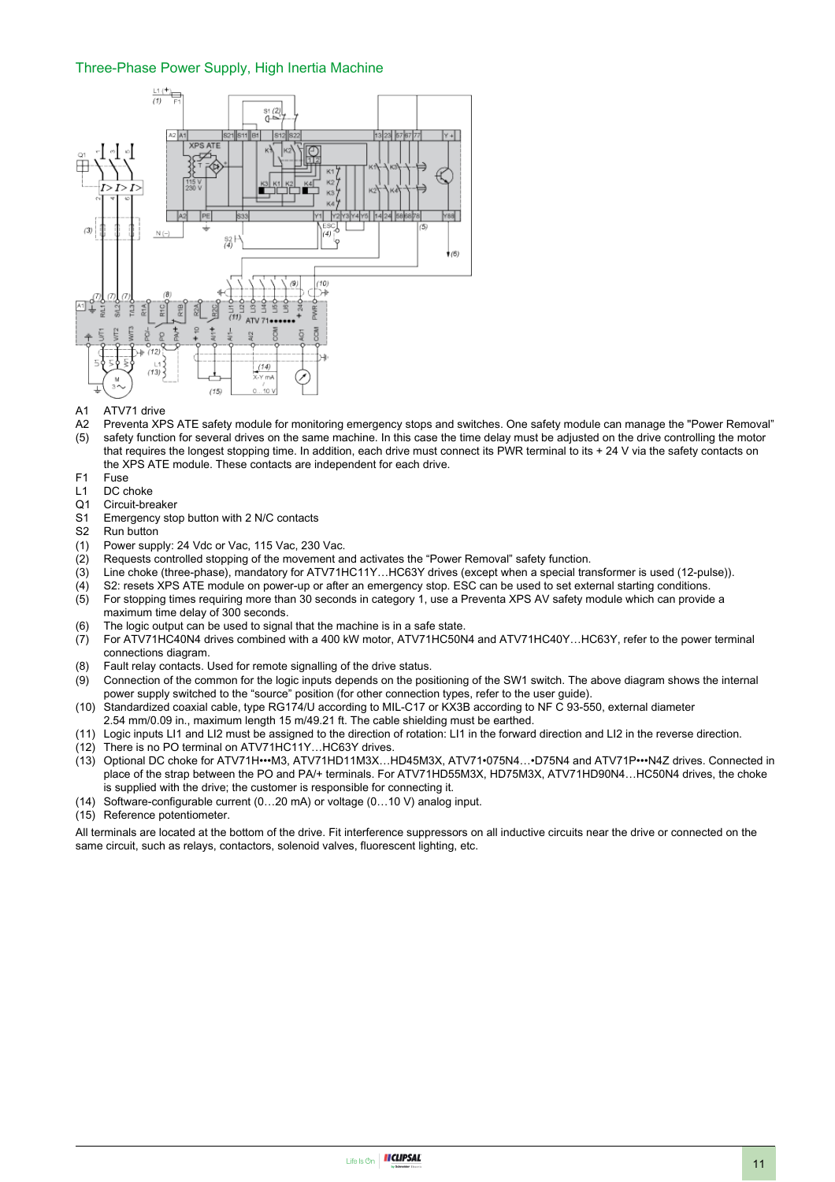#### Three-Phase Power Supply, High Inertia Machine



- A1 ATV71 drive
- A2 Preventa XPS ATE safety module for monitoring emergency stops and switches. One safety module can manage the "Power Removal"
- $(5)$ safety function for several drives on the same machine. In this case the time delay must be adjusted on the drive controlling the motor that requires the longest stopping time. In addition, each drive must connect its PWR terminal to its + 24 V via the safety contacts on the XPS ATE module. These contacts are independent for each drive.
- F1 Fuse
- L1 DC choke<br>Q1 Circuit-bre
- Circuit-breaker
- S1 Emergency stop button with 2 N/C contacts
- S2 Run button
- (1) Power supply: 24 Vdc or Vac, 115 Vac, 230 Vac.
- (2) Requests controlled stopping of the movement and activates the "Power Removal" safety function.<br>(3) Line choke (three-phase), mandatory for ATV71HC11Y...HC63Y drives (except when a special tra
- Line choke (three-phase), mandatory for ATV71HC11Y…HC63Y drives (except when a special transformer is used (12-pulse)).
- (4) S2: resets XPS ATE module on power-up or after an emergency stop. ESC can be used to set external starting conditions. (5) For stopping times requiring more than 30 seconds in category 1, use a Preventa XPS AV safety module which can provide a
- maximum time delay of 300 seconds. (6) The logic output can be used to signal that the machine is in a safe state.
- $(7)$  For ATV71HC40N4 drives combined with a 400 kW motor, ATV71HC50N4 and ATV71HC40Y…HC63Y, refer to the power terminal connections diagram.
- (8) Fault relay contacts. Used for remote signalling of the drive status.
- (9) Connection of the common for the logic inputs depends on the positioning of the SW1 switch. The above diagram shows the internal power supply switched to the "source" position (for other connection types, refer to the user guide).
- (10) Standardized coaxial cable, type RG174/U according to MIL-C17 or KX3B according to NF C 93-550, external diameter 2.54 mm/0.09 in., maximum length 15 m/49.21 ft. The cable shielding must be earthed.
- (11) Logic inputs LI1 and LI2 must be assigned to the direction of rotation: LI1 in the forward direction and LI2 in the reverse direction.
- (12) There is no PO terminal on ATV71HC11Y…HC63Y drives.
- (13) Optional DC choke for ATV71H•••M3, ATV71HD11M3X…HD45M3X, ATV71•075N4…•D75N4 and ATV71P•••N4Z drives. Connected in place of the strap between the PO and PA/+ terminals. For ATV71HD55M3X, HD75M3X, ATV71HD90N4…HC50N4 drives, the choke is supplied with the drive; the customer is responsible for connecting it.
- (14) Software-configurable current (0…20 mA) or voltage (0…10 V) analog input.
- (15) Reference potentiometer.

All terminals are located at the bottom of the drive. Fit interference suppressors on all inductive circuits near the drive or connected on the same circuit, such as relays, contactors, solenoid valves, fluorescent lighting, etc.